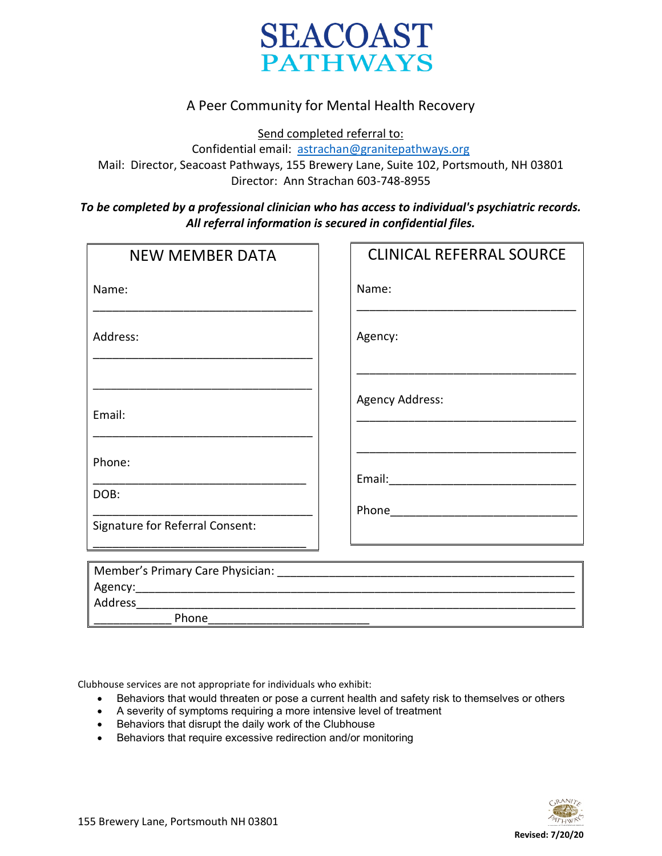

## A Peer Community for Mental Health Recovery

Send completed referral to:

Confidential email: [astrachan@granitepathways.org](mailto:astrachan@granitepathways.org)

Mail: Director, Seacoast Pathways, 155 Brewery Lane, Suite 102, Portsmouth, NH 03801 Director: Ann Strachan 603-748-8955

## *To be completed by a professional clinician who has access to individual's psychiatric records. All referral information is secured in confidential files.*

| <b>NEW MEMBER DATA</b>          | <b>CLINICAL REFERRAL SOURCE</b> |
|---------------------------------|---------------------------------|
| Name:                           | Name:                           |
| Address:                        | Agency:                         |
| Email:                          | <b>Agency Address:</b>          |
| Phone:<br>DOB:                  |                                 |
| Signature for Referral Consent: |                                 |
| Phone                           |                                 |

Clubhouse services are not appropriate for individuals who exhibit:

- Behaviors that would threaten or pose a current health and safety risk to themselves or others
- A severity of symptoms requiring a more intensive level of treatment
- Behaviors that disrupt the daily work of the Clubhouse
- Behaviors that require excessive redirection and/or monitoring